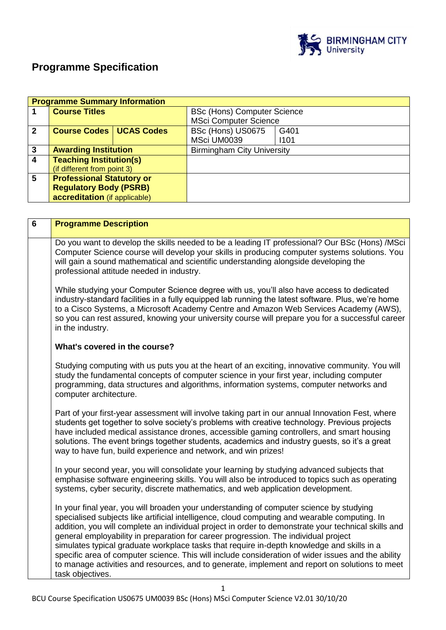

# **Programme Specification**

|              | <b>Programme Summary Information</b> |  |                                    |      |  |
|--------------|--------------------------------------|--|------------------------------------|------|--|
|              | <b>Course Titles</b>                 |  | <b>BSc (Hons) Computer Science</b> |      |  |
|              |                                      |  | <b>MSci Computer Science</b>       |      |  |
| $\mathbf{2}$ | <b>Course Codes   UCAS Codes</b>     |  | BSc (Hons) US0675                  | G401 |  |
|              |                                      |  | MSci UM0039                        | 1101 |  |
| 3            | <b>Awarding Institution</b>          |  | <b>Birmingham City University</b>  |      |  |
| 4            | <b>Teaching Institution(s)</b>       |  |                                    |      |  |
|              | (if different from point 3)          |  |                                    |      |  |
| 5            | <b>Professional Statutory or</b>     |  |                                    |      |  |
|              | <b>Regulatory Body (PSRB)</b>        |  |                                    |      |  |
|              | accreditation (if applicable)        |  |                                    |      |  |

| $\overline{\mathbf{6}}$ | <b>Programme Description</b>                                                                                                                                                                                                                                                                                                                                                                                                                                                                                                                                                                                                                                                                                     |
|-------------------------|------------------------------------------------------------------------------------------------------------------------------------------------------------------------------------------------------------------------------------------------------------------------------------------------------------------------------------------------------------------------------------------------------------------------------------------------------------------------------------------------------------------------------------------------------------------------------------------------------------------------------------------------------------------------------------------------------------------|
|                         | Do you want to develop the skills needed to be a leading IT professional? Our BSc (Hons) /MSci<br>Computer Science course will develop your skills in producing computer systems solutions. You<br>will gain a sound mathematical and scientific understanding alongside developing the<br>professional attitude needed in industry.                                                                                                                                                                                                                                                                                                                                                                             |
|                         | While studying your Computer Science degree with us, you'll also have access to dedicated<br>industry-standard facilities in a fully equipped lab running the latest software. Plus, we're home<br>to a Cisco Systems, a Microsoft Academy Centre and Amazon Web Services Academy (AWS),<br>so you can rest assured, knowing your university course will prepare you for a successful career<br>in the industry.                                                                                                                                                                                                                                                                                                 |
|                         | What's covered in the course?                                                                                                                                                                                                                                                                                                                                                                                                                                                                                                                                                                                                                                                                                    |
|                         | Studying computing with us puts you at the heart of an exciting, innovative community. You will<br>study the fundamental concepts of computer science in your first year, including computer<br>programming, data structures and algorithms, information systems, computer networks and<br>computer architecture.                                                                                                                                                                                                                                                                                                                                                                                                |
|                         | Part of your first-year assessment will involve taking part in our annual Innovation Fest, where<br>students get together to solve society's problems with creative technology. Previous projects<br>have included medical assistance drones, accessible gaming controllers, and smart housing<br>solutions. The event brings together students, academics and industry guests, so it's a great<br>way to have fun, build experience and network, and win prizes!                                                                                                                                                                                                                                                |
|                         | In your second year, you will consolidate your learning by studying advanced subjects that<br>emphasise software engineering skills. You will also be introduced to topics such as operating<br>systems, cyber security, discrete mathematics, and web application development.                                                                                                                                                                                                                                                                                                                                                                                                                                  |
|                         | In your final year, you will broaden your understanding of computer science by studying<br>specialised subjects like artificial intelligence, cloud computing and wearable computing. In<br>addition, you will complete an individual project in order to demonstrate your technical skills and<br>general employability in preparation for career progression. The individual project<br>simulates typical graduate workplace tasks that require in-depth knowledge and skills in a<br>specific area of computer science. This will include consideration of wider issues and the ability<br>to manage activities and resources, and to generate, implement and report on solutions to meet<br>task objectives. |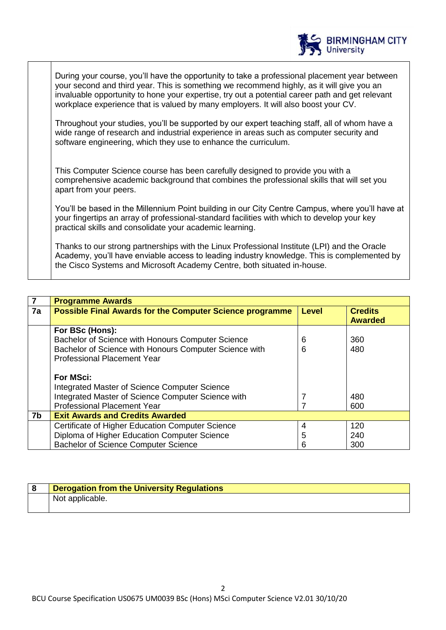

During your course, you'll have the opportunity to take a professional placement year between your second and third year. This is something we recommend highly, as it will give you an invaluable opportunity to hone your expertise, try out a potential career path and get relevant workplace experience that is valued by many employers. It will also boost your CV.

Throughout your studies, you'll be supported by our expert teaching staff, all of whom have a wide range of research and industrial experience in areas such as computer security and software engineering, which they use to enhance the curriculum.

This Computer Science course has been carefully designed to provide you with a comprehensive academic background that combines the professional skills that will set you apart from your peers.

You'll be based in the Millennium Point building in our City Centre Campus, where you'll have at your fingertips an array of professional-standard facilities with which to develop your key practical skills and consolidate your academic learning.

Thanks to our strong partnerships with the Linux Professional Institute (LPI) and the Oracle Academy, you'll have enviable access to leading industry knowledge. This is complemented by the Cisco Systems and Microsoft Academy Centre, both situated in-house.

|    | <b>Programme Awards</b>                                         |              |                                  |
|----|-----------------------------------------------------------------|--------------|----------------------------------|
| 7a | <b>Possible Final Awards for the Computer Science programme</b> | <b>Level</b> | <b>Credits</b><br><b>Awarded</b> |
|    | For BSc (Hons):                                                 |              |                                  |
|    |                                                                 |              |                                  |
|    | Bachelor of Science with Honours Computer Science               | 6            | 360                              |
|    | Bachelor of Science with Honours Computer Science with          | 6            | 480                              |
|    | <b>Professional Placement Year</b>                              |              |                                  |
|    |                                                                 |              |                                  |
|    | <b>For MSci:</b>                                                |              |                                  |
|    | Integrated Master of Science Computer Science                   |              |                                  |
|    | Integrated Master of Science Computer Science with              |              | 480                              |
|    | <b>Professional Placement Year</b>                              |              | 600                              |
| 7b | <b>Exit Awards and Credits Awarded</b>                          |              |                                  |
|    | Certificate of Higher Education Computer Science                | 4            | 120                              |
|    | Diploma of Higher Education Computer Science                    | 5            | 240                              |
|    | <b>Bachelor of Science Computer Science</b>                     | 6            | 300                              |

| <b>Derogation from the University Regulations</b> |
|---------------------------------------------------|
| Not applicable.                                   |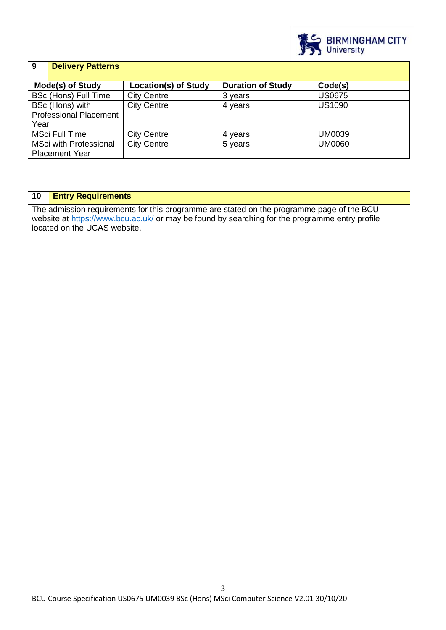

| 9                             | <b>Delivery Patterns</b> |                             |                          |               |
|-------------------------------|--------------------------|-----------------------------|--------------------------|---------------|
|                               |                          |                             |                          |               |
|                               | Mode(s) of Study         | <b>Location(s) of Study</b> | <b>Duration of Study</b> | Code(s)       |
|                               | BSc (Hons) Full Time     | <b>City Centre</b>          | 3 years                  | <b>US0675</b> |
|                               | BSc (Hons) with          | <b>City Centre</b>          | 4 years                  | <b>US1090</b> |
| <b>Professional Placement</b> |                          |                             |                          |               |
| Year                          |                          |                             |                          |               |
|                               | <b>MSci Full Time</b>    | <b>City Centre</b>          | 4 years                  | <b>UM0039</b> |
| <b>MSci with Professional</b> |                          | <b>City Centre</b>          | 5 years                  | <b>UM0060</b> |
|                               | <b>Placement Year</b>    |                             |                          |               |

## **10 Entry Requirements**

The admission requirements for this programme are stated on the programme page of the BCU website at<https://www.bcu.ac.uk/> or may be found by searching for the programme entry profile located on the UCAS website.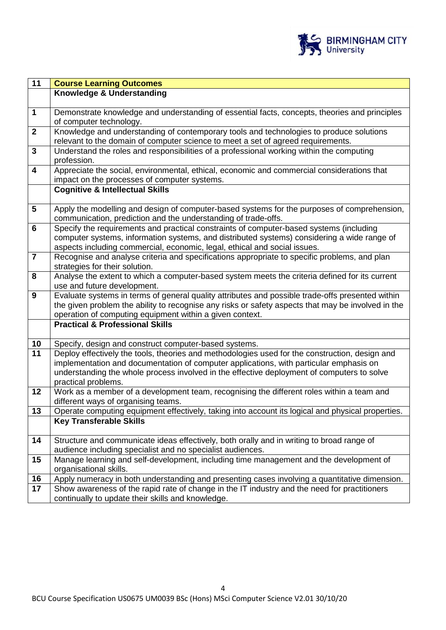

| $\overline{11}$         | <b>Course Learning Outcomes</b>                                                                                                                           |
|-------------------------|-----------------------------------------------------------------------------------------------------------------------------------------------------------|
|                         | Knowledge & Understanding                                                                                                                                 |
|                         |                                                                                                                                                           |
| $\mathbf 1$             | Demonstrate knowledge and understanding of essential facts, concepts, theories and principles                                                             |
|                         | of computer technology.                                                                                                                                   |
| $\mathbf{2}$            | Knowledge and understanding of contemporary tools and technologies to produce solutions                                                                   |
|                         | relevant to the domain of computer science to meet a set of agreed requirements.                                                                          |
| 3                       | Understand the roles and responsibilities of a professional working within the computing                                                                  |
|                         | profession.                                                                                                                                               |
| 4                       | Appreciate the social, environmental, ethical, economic and commercial considerations that                                                                |
|                         | impact on the processes of computer systems.                                                                                                              |
|                         | <b>Cognitive &amp; Intellectual Skills</b>                                                                                                                |
|                         |                                                                                                                                                           |
| 5                       | Apply the modelling and design of computer-based systems for the purposes of comprehension,                                                               |
| 6                       | communication, prediction and the understanding of trade-offs.<br>Specify the requirements and practical constraints of computer-based systems (including |
|                         | computer systems, information systems, and distributed systems) considering a wide range of                                                               |
|                         | aspects including commercial, economic, legal, ethical and social issues.                                                                                 |
| $\overline{\mathbf{7}}$ | Recognise and analyse criteria and specifications appropriate to specific problems, and plan                                                              |
|                         | strategies for their solution.                                                                                                                            |
| 8                       | Analyse the extent to which a computer-based system meets the criteria defined for its current                                                            |
|                         | use and future development.                                                                                                                               |
| 9                       | Evaluate systems in terms of general quality attributes and possible trade-offs presented within                                                          |
|                         | the given problem the ability to recognise any risks or safety aspects that may be involved in the                                                        |
|                         | operation of computing equipment within a given context.                                                                                                  |
|                         | <b>Practical &amp; Professional Skills</b>                                                                                                                |
|                         |                                                                                                                                                           |
| 10                      | Specify, design and construct computer-based systems.                                                                                                     |
| $\overline{11}$         | Deploy effectively the tools, theories and methodologies used for the construction, design and                                                            |
|                         | implementation and documentation of computer applications, with particular emphasis on                                                                    |
|                         | understanding the whole process involved in the effective deployment of computers to solve                                                                |
|                         | practical problems.                                                                                                                                       |
| 12                      | Work as a member of a development team, recognising the different roles within a team and                                                                 |
|                         | different ways of organising teams.                                                                                                                       |
| 13                      | Operate computing equipment effectively, taking into account its logical and physical properties.                                                         |
|                         | <b>Key Transferable Skills</b>                                                                                                                            |
| 14                      | Structure and communicate ideas effectively, both orally and in writing to broad range of                                                                 |
|                         | audience including specialist and no specialist audiences.                                                                                                |
| 15                      | Manage learning and self-development, including time management and the development of                                                                    |
|                         | organisational skills.                                                                                                                                    |
| 16                      | Apply numeracy in both understanding and presenting cases involving a quantitative dimension.                                                             |
| 17                      | Show awareness of the rapid rate of change in the IT industry and the need for practitioners                                                              |
|                         | continually to update their skills and knowledge.                                                                                                         |
|                         |                                                                                                                                                           |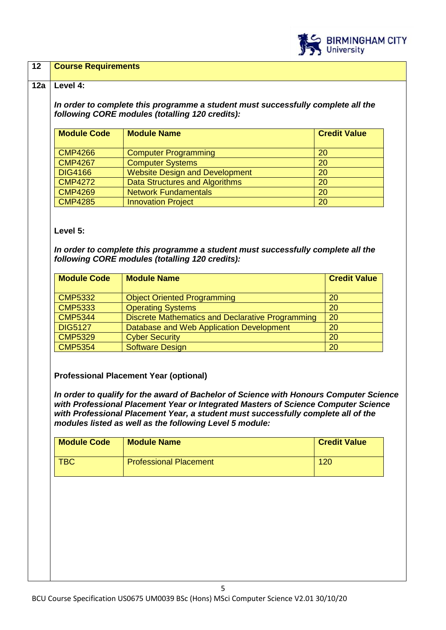

## **12 Course Requirements**

#### **12a Level 4:**

*In order to complete this programme a student must successfully complete all the following CORE modules (totalling 120 credits):*

| <b>Module Code</b> | <b>Module Name</b>                    | <b>Credit Value</b> |
|--------------------|---------------------------------------|---------------------|
| <b>CMP4266</b>     | <b>Computer Programming</b>           | 20                  |
| <b>CMP4267</b>     | <b>Computer Systems</b>               | 20                  |
| <b>DIG4166</b>     | <b>Website Design and Development</b> | 20                  |
| <b>CMP4272</b>     | <b>Data Structures and Algorithms</b> | 20                  |
| <b>CMP4269</b>     | <b>Network Fundamentals</b>           | 20                  |
| <b>CMP4285</b>     | <b>Innovation Project</b>             | 20                  |

## **Level 5:**

*In order to complete this programme a student must successfully complete all the following CORE modules (totalling 120 credits):*

| <b>Module Code</b> | <b>Module Name</b>                               | <b>Credit Value</b> |
|--------------------|--------------------------------------------------|---------------------|
| <b>CMP5332</b>     | <b>Object Oriented Programming</b>               | 20                  |
| <b>CMP5333</b>     | <b>Operating Systems</b>                         | 20                  |
| <b>CMP5344</b>     | Discrete Mathematics and Declarative Programming | 20                  |
| <b>DIG5127</b>     | Database and Web Application Development         | 20                  |
| <b>CMP5329</b>     | <b>Cyber Security</b>                            | 20                  |
| <b>CMP5354</b>     | <b>Software Design</b>                           | 20                  |

## **Professional Placement Year (optional)**

*In order to qualify for the award of Bachelor of Science with Honours Computer Science with Professional Placement Year or Integrated Masters of Science Computer Science with Professional Placement Year, a student must successfully complete all of the modules listed as well as the following Level 5 module:*

| <b>Module Code</b> | <b>Module Name</b>            | <b>Credit Value</b> |
|--------------------|-------------------------------|---------------------|
| TBC                | <b>Professional Placement</b> | 120                 |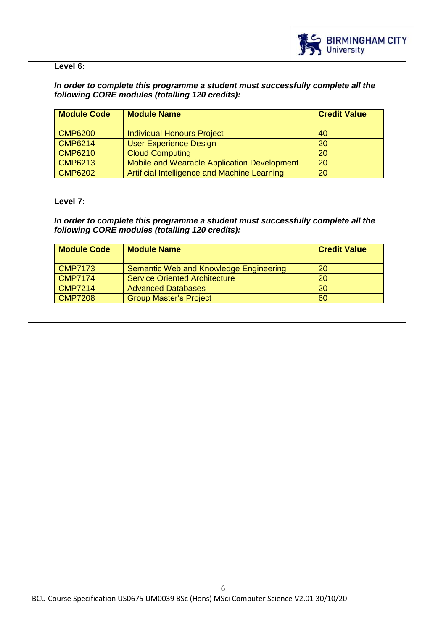

## **Level 6:**

*In order to complete this programme a student must successfully complete all the following CORE modules (totalling 120 credits):*

| <b>Module Code</b><br><b>Module Name</b> |                                              | <b>Credit Value</b> |
|------------------------------------------|----------------------------------------------|---------------------|
| <b>CMP6200</b>                           | <b>Individual Honours Project</b>            | 40                  |
| <b>CMP6214</b>                           | <b>User Experience Design</b>                | <b>20</b>           |
| <b>CMP6210</b>                           | <b>Cloud Computing</b>                       | <b>20</b>           |
| <b>CMP6213</b>                           | Mobile and Wearable Application Development  | <b>20</b>           |
| <b>CMP6202</b>                           | Artificial Intelligence and Machine Learning | 20                  |

## **Level 7:**

*In order to complete this programme a student must successfully complete all the following CORE modules (totalling 120 credits):*

| <b>Module Code</b><br><b>Module Name</b>        |    |
|-------------------------------------------------|----|
| Semantic Web and Knowledge Engineering          | 20 |
| <b>Service Oriented Architecture</b>            | 20 |
| <b>Advanced Databases</b>                       | 20 |
| <b>CMP7208</b><br><b>Group Master's Project</b> |    |
|                                                 |    |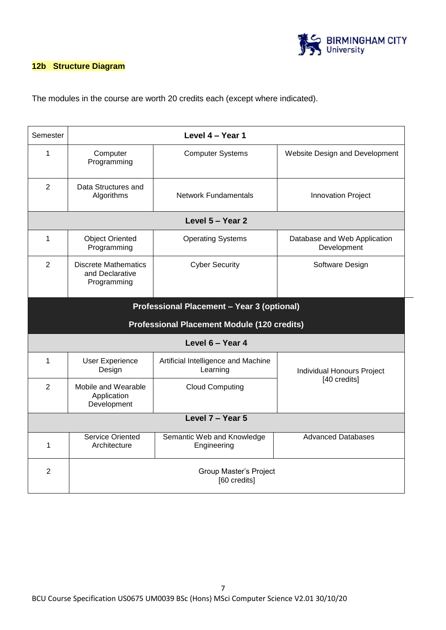

## **12b Structure Diagram**

The modules in the course are worth 20 credits each (except where indicated).

| Semester                                   | Level 4 - Year 1                                              |                                                    |                                             |  |  |  |
|--------------------------------------------|---------------------------------------------------------------|----------------------------------------------------|---------------------------------------------|--|--|--|
| $\mathbf{1}$                               | Computer<br>Programming                                       | <b>Computer Systems</b>                            | Website Design and Development              |  |  |  |
| $\overline{2}$                             | Data Structures and<br>Algorithms                             | <b>Network Fundamentals</b>                        | <b>Innovation Project</b>                   |  |  |  |
|                                            |                                                               | Level 5 - Year 2                                   |                                             |  |  |  |
| 1                                          | <b>Object Oriented</b><br>Programming                         | <b>Operating Systems</b>                           | Database and Web Application<br>Development |  |  |  |
| $\overline{2}$                             | <b>Discrete Mathematics</b><br>and Declarative<br>Programming | <b>Cyber Security</b>                              | Software Design                             |  |  |  |
| Professional Placement - Year 3 (optional) |                                                               |                                                    |                                             |  |  |  |
|                                            |                                                               | <b>Professional Placement Module (120 credits)</b> |                                             |  |  |  |
|                                            |                                                               | Level 6 - Year 4                                   |                                             |  |  |  |
| 1                                          | <b>User Experience</b><br>Design                              | Artificial Intelligence and Machine<br>Learning    | Individual Honours Project                  |  |  |  |
| $\overline{2}$                             | Mobile and Wearable<br>Application<br>Development             | <b>Cloud Computing</b>                             | [40 credits]                                |  |  |  |
| Level 7 - Year 5                           |                                                               |                                                    |                                             |  |  |  |
| 1                                          | <b>Service Oriented</b><br>Architecture                       | Semantic Web and Knowledge<br>Engineering          | <b>Advanced Databases</b>                   |  |  |  |
| $\overline{2}$                             | Group Master's Project<br>[60 credits]                        |                                                    |                                             |  |  |  |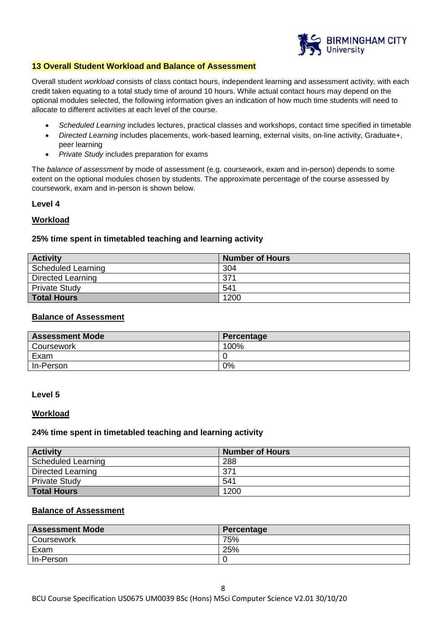

#### **13 Overall Student Workload and Balance of Assessment**

Overall student *workload* consists of class contact hours, independent learning and assessment activity, with each credit taken equating to a total study time of around 10 hours. While actual contact hours may depend on the optional modules selected, the following information gives an indication of how much time students will need to allocate to different activities at each level of the course.

- *Scheduled Learning* includes lectures, practical classes and workshops, contact time specified in timetable
- *Directed Learning* includes placements, work-based learning, external visits, on-line activity, Graduate+, peer learning
- *Private Study* includes preparation for exams

The *balance of assessment* by mode of assessment (e.g. coursework, exam and in-person) depends to some extent on the optional modules chosen by students. The approximate percentage of the course assessed by coursework, exam and in-person is shown below.

## **Level 4**

## **Workload**

## **25% time spent in timetabled teaching and learning activity**

| <b>Activity</b>           | <b>Number of Hours</b> |
|---------------------------|------------------------|
| <b>Scheduled Learning</b> | 304                    |
| Directed Learning         | 371                    |
| <b>Private Study</b>      | 541                    |
| <b>Total Hours</b>        | 1200                   |

## **Balance of Assessment**

| <b>Assessment Mode</b> | Percentage |
|------------------------|------------|
| Coursework             | 100%       |
| Exam                   |            |
| In-Person              | 0%         |

#### **Level 5**

#### **Workload**

#### **24% time spent in timetabled teaching and learning activity**

| <b>Activity</b>           | <b>Number of Hours</b> |
|---------------------------|------------------------|
| <b>Scheduled Learning</b> | 288                    |
| Directed Learning         | 371                    |
| <b>Private Study</b>      | 541                    |
| <b>Total Hours</b>        | 1200                   |

## **Balance of Assessment**

| <b>Assessment Mode</b> | Percentage |
|------------------------|------------|
| Coursework             | 75%        |
| Exam                   | 25%        |
| In-Person              |            |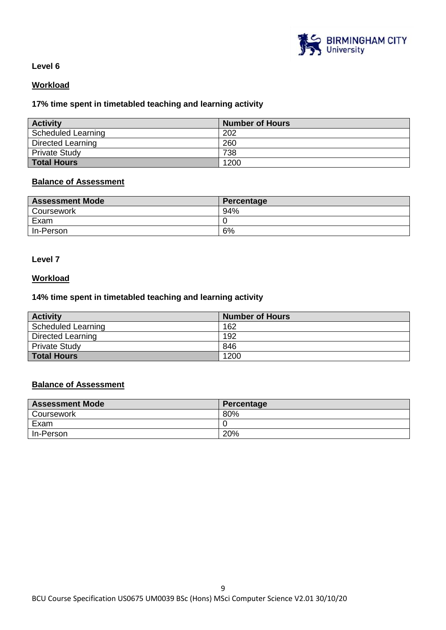

## **Level 6**

## **Workload**

## **17% time spent in timetabled teaching and learning activity**

| <b>Activity</b>           | <b>Number of Hours</b> |
|---------------------------|------------------------|
| <b>Scheduled Learning</b> | 202                    |
| Directed Learning         | 260                    |
| <b>Private Study</b>      | 738                    |
| <b>Total Hours</b>        | 1200                   |

## **Balance of Assessment**

| <b>Assessment Mode</b> | Percentage |
|------------------------|------------|
| Coursework             | 94%        |
| Exam                   |            |
| In-Person              | 6%         |

## **Level 7**

## **Workload**

## **14% time spent in timetabled teaching and learning activity**

| <b>Activity</b>      | <b>Number of Hours</b> |
|----------------------|------------------------|
| Scheduled Learning   | 162                    |
| Directed Learning    | 192                    |
| <b>Private Study</b> | 846                    |
| <b>Total Hours</b>   | 1200                   |

## **Balance of Assessment**

| <b>Assessment Mode</b> | Percentage |
|------------------------|------------|
| Coursework             | 80%        |
| Exam                   |            |
| In-Person              | 20%        |